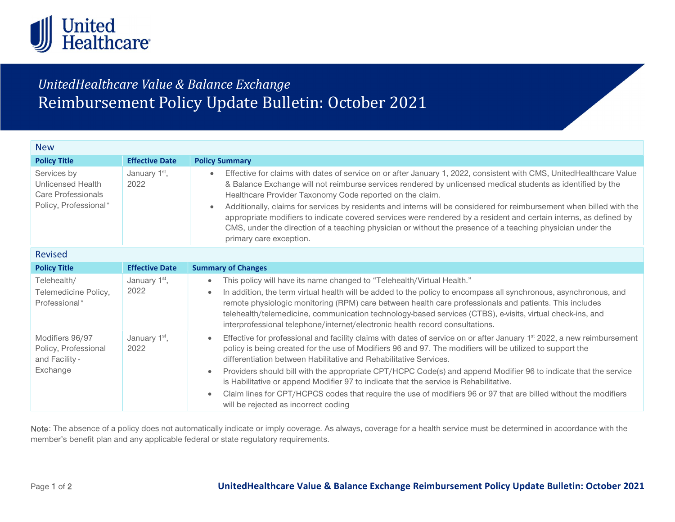

## UnitedHealthcare Value & Balance Exchange Reimbursement Policy Update Bulletin: October 2021

| <b>New</b>                                                                             |                                   |                                                                                                                                                                                                                                                                                                                                                                                                                                                                                                                                                                                                                                                                                                                                     |
|----------------------------------------------------------------------------------------|-----------------------------------|-------------------------------------------------------------------------------------------------------------------------------------------------------------------------------------------------------------------------------------------------------------------------------------------------------------------------------------------------------------------------------------------------------------------------------------------------------------------------------------------------------------------------------------------------------------------------------------------------------------------------------------------------------------------------------------------------------------------------------------|
| <b>Policy Title</b>                                                                    | <b>Effective Date</b>             | <b>Policy Summary</b>                                                                                                                                                                                                                                                                                                                                                                                                                                                                                                                                                                                                                                                                                                               |
| Services by<br><b>Unlicensed Health</b><br>Care Professionals<br>Policy, Professional* | January 1 <sup>st</sup> ,<br>2022 | Effective for claims with dates of service on or after January 1, 2022, consistent with CMS, UnitedHealthcare Value<br>$\bullet$<br>& Balance Exchange will not reimburse services rendered by unlicensed medical students as identified by the<br>Healthcare Provider Taxonomy Code reported on the claim.<br>Additionally, claims for services by residents and interns will be considered for reimbursement when billed with the<br>appropriate modifiers to indicate covered services were rendered by a resident and certain interns, as defined by<br>CMS, under the direction of a teaching physician or without the presence of a teaching physician under the<br>primary care exception.                                   |
| <b>Revised</b>                                                                         |                                   |                                                                                                                                                                                                                                                                                                                                                                                                                                                                                                                                                                                                                                                                                                                                     |
| <b>Policy Title</b>                                                                    | <b>Effective Date</b>             | <b>Summary of Changes</b>                                                                                                                                                                                                                                                                                                                                                                                                                                                                                                                                                                                                                                                                                                           |
| Telehealth/<br>Telemedicine Policy,<br>Professional*                                   | January 1 <sup>st</sup> ,<br>2022 | This policy will have its name changed to "Telehealth/Virtual Health."<br>$\bullet$<br>In addition, the term virtual health will be added to the policy to encompass all synchronous, asynchronous, and<br>$\bullet$<br>remote physiologic monitoring (RPM) care between health care professionals and patients. This includes<br>telehealth/telemedicine, communication technology-based services (CTBS), e-visits, virtual check-ins, and<br>interprofessional telephone/internet/electronic health record consultations.                                                                                                                                                                                                         |
| Modifiers 96/97<br>Policy, Professional<br>and Facility -<br>Exchange                  | January 1 <sup>st</sup> ,<br>2022 | Effective for professional and facility claims with dates of service on or after January 1 <sup>st</sup> 2022, a new reimbursement<br>$\bullet$<br>policy is being created for the use of Modifiers 96 and 97. The modifiers will be utilized to support the<br>differentiation between Habilitative and Rehabilitative Services.<br>Providers should bill with the appropriate CPT/HCPC Code(s) and append Modifier 96 to indicate that the service<br>$\bullet$<br>is Habilitative or append Modifier 97 to indicate that the service is Rehabilitative.<br>Claim lines for CPT/HCPCS codes that require the use of modifiers 96 or 97 that are billed without the modifiers<br>$\bullet$<br>will be rejected as incorrect coding |

Note: The absence of a policy does not automatically indicate or imply coverage. As always, coverage for a health service must be determined in accordance with the member's benefit plan and any applicable federal or state regulatory requirements.